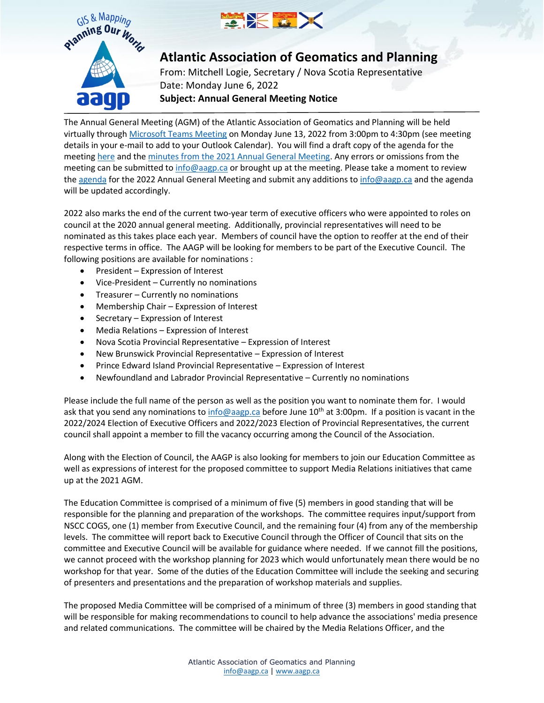



## **Atlantic Association of Geomatics and Planning**

From: Mitchell Logie, Secretary / Nova Scotia Representative Date: Monday June 6, 2022 **Subject: Annual General Meeting Notice**

The Annual General Meeting (AGM) of the Atlantic Association of Geomatics and Planning will be held virtually throug[h Microsoft Teams Meeting](https://can01.safelinks.protection.outlook.com/ap/t-59584e83/?url=https%3A%2F%2Fteams.microsoft.com%2Fl%2Fmeetup-join%2F19%253ameeting_YTQyNDE4NGYtYTFkYy00OWJlLTk4MGMtYzQxNDY2OGI1MDE1%2540thread.v2%2F0%3Fcontext%3D%257b%2522Tid%2522%253a%252205b7e7d6-b71b-47da-93ef-aac7223f89e5%2522%252c%2522Oid%2522%253a%252293c00cc9-2163-402c-8659-bd347f42e5a4%2522%257d&data=05%7C01%7CMitchell.Logie%40novascotia.ca%7C9b2ea65b540043e1ebf508da45592c32%7C8eb23313ce754345a56a297a2412b4db%7C0%7C0%7C637898546537936553%7CUnknown%7CTWFpbGZsb3d8eyJWIjoiMC4wLjAwMDAiLCJQIjoiV2luMzIiLCJBTiI6Ik1haWwiLCJXVCI6Mn0%3D%7C3000%7C%7C%7C&sdata=Hlv5dQrUAWFH1rTGkTsenBmCcAWXwla47YvW4FbJjRw%3D&reserved=0) on Monday June 13, 2022 from 3:00pm to 4:30pm (see meeting details in your e-mail to add to your Outlook Calendar). You will find a draft copy of the agenda for the meetin[g here](https://immediac.blob.core.windows.net/aagp-website/images/executive/Council/2022/AGM/AGM2022Agenda.pdf) and th[e minutes from the 2021 Annual General Meeting.](https://immediac.blob.core.windows.net/aagp-website/images/News/Minutes/AGM2021_Minutes.pdf) Any errors or omissions from the meeting can be submitted t[o info@aagp.ca](mailto:info@aagp.ca) or brought up at the meeting. Please take a moment to review th[e agenda](https://immediac.blob.core.windows.net/aagp-website/images/executive/Council/2022/AGM/AGM2022Agenda.pdf) for the 2022 Annual General Meeting and submit any additions t[o info@aagp.ca](mailto:info@aagp.ca) and the agenda will be updated accordingly.

2022 also marks the end of the current two-year term of executive officers who were appointed to roles on council at the 2020 annual general meeting. Additionally, provincial representatives will need to be nominated as this takes place each year. Members of council have the option to reoffer at the end of their respective terms in office. The AAGP will be looking for members to be part of the Executive Council. The following positions are available for nominations :

- President Expression of Interest
- Vice-President Currently no nominations
- Treasurer Currently no nominations
- Membership Chair Expression of Interest
- Secretary Expression of Interest
- Media Relations Expression of Interest
- Nova Scotia Provincial Representative Expression of Interest
- New Brunswick Provincial Representative Expression of Interest
- Prince Edward Island Provincial Representative Expression of Interest
- Newfoundland and Labrador Provincial Representative Currently no nominations

Please include the full name of the person as well as the position you want to nominate them for. I would ask that you send any nominations to [info@aagp.ca](mailto:info@aagp.ca) before June  $10^{th}$  at 3:00pm. If a position is vacant in the 2022/2024 Election of Executive Officers and 2022/2023 Election of Provincial Representatives, the current council shall appoint a member to fill the vacancy occurring among the Council of the Association.

Along with the Election of Council, the AAGP is also looking for members to join our Education Committee as well as expressions of interest for the proposed committee to support Media Relations initiatives that came up at the 2021 AGM.

The Education Committee is comprised of a minimum of five (5) members in good standing that will be responsible for the planning and preparation of the workshops. The committee requires input/support from NSCC COGS, one (1) member from Executive Council, and the remaining four (4) from any of the membership levels. The committee will report back to Executive Council through the Officer of Council that sits on the committee and Executive Council will be available for guidance where needed. If we cannot fill the positions, we cannot proceed with the workshop planning for 2023 which would unfortunately mean there would be no workshop for that year. Some of the duties of the Education Committee will include the seeking and securing of presenters and presentations and the preparation of workshop materials and supplies.

The proposed Media Committee will be comprised of a minimum of three (3) members in good standing that will be responsible for making recommendations to council to help advance the associations' media presence and related communications. The committee will be chaired by the Media Relations Officer, and the